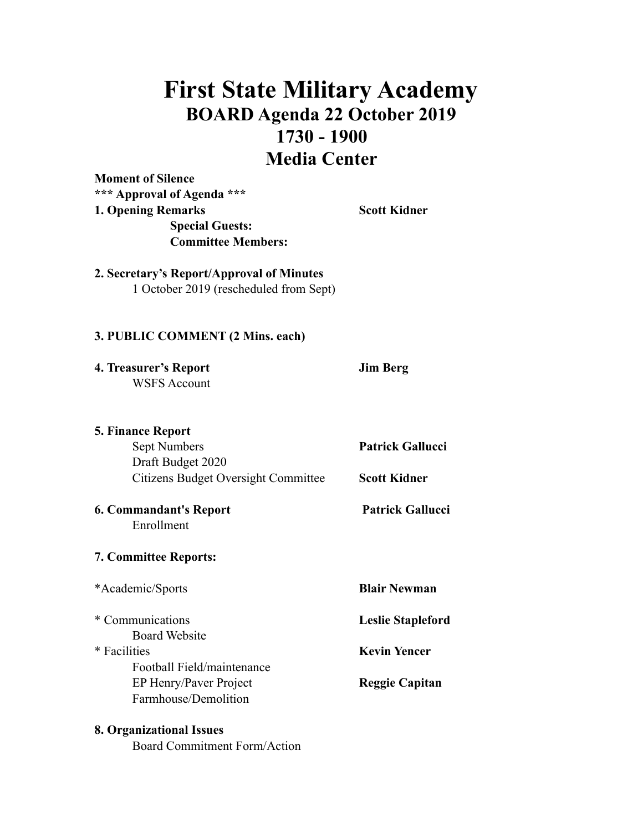## **First State Military Academy BOARD Agenda 22 October 2019 1730 - 1900 Media Center**

**Moment of Silence \*\*\* Approval of Agenda \*\*\* 1. Opening Remarks Scott Kidner Special Guests: Committee Members:** 

**2. Secretary's Report/Approval of Minutes**  1 October 2019 (rescheduled from Sept)

## **3. PUBLIC COMMENT (2 Mins. each)**

**4. Treasurer's Report Jim Berg**  WSFS Account

| <b>5. Finance Report</b>                                        |                                                |
|-----------------------------------------------------------------|------------------------------------------------|
| Sept Numbers                                                    | <b>Patrick Gallucci</b><br><b>Scott Kidner</b> |
| Draft Budget 2020<br><b>Citizens Budget Oversight Committee</b> |                                                |
|                                                                 |                                                |
| Enrollment                                                      |                                                |
| <b>7. Committee Reports:</b>                                    |                                                |
| *Academic/Sports                                                | <b>Blair Newman</b>                            |
| * Communications                                                | <b>Leslie Stapleford</b>                       |
| <b>Board Website</b>                                            |                                                |
| * Facilities                                                    | <b>Kevin Yencer</b>                            |
| Football Field/maintenance                                      |                                                |
| EP Henry/Paver Project                                          | <b>Reggie Capitan</b>                          |
| Farmhouse/Demolition                                            |                                                |
|                                                                 |                                                |

## **8. Organizational Issues**

Board Commitment Form/Action